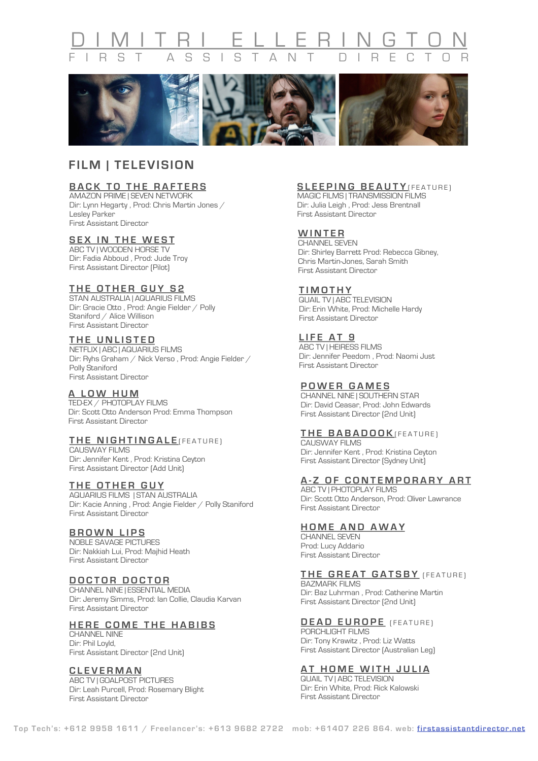# DIMITRI ELLERINGTON FIRST ASSISTANT DIRECTOR



# **FILM | TELEVISION**

## **BACK TO THE RAFTERS**

AMAZON PRIME | SEVEN NETWORK Dir: Lynn Hegarty , Prod: Chris Martin Jones / Lesley Parker First Assistant Director

## **SEX IN THE WEST**

ABC TV | WOODEN HORSE TV Dir: Fadia Abboud , Prod: Jude Troy First Assistant Director (Pilot)

## **THE OTHER GUY S2**

STAN AUSTRALIA | AQUARIUS FILMS Dir: Gracie Otto , Prod: Angie Fielder / Polly Staniford / Alice Willison First Assistant Director

#### **THE UNLISTED**

NETFLIX | ABC | AQUARIUS FILMS Dir: Ryhs Graham / Nick Verso , Prod: Angie Fielder / Polly Staniford First Assistant Director

#### **A LOW HUM**

TED-EX / PHOTOPLAY FILMS Dir: Scott Otto Anderson Prod: Emma Thompson First Assistant Director

#### **THE NIGHTINGALE** (FEATURE)

CAUSWAY FILMS Dir: Jennifer Kent , Prod: Kristina Ceyton First Assistant Director (Add Unit)

#### **THE OTHER GUY**

AQUARIUS FILMS | STAN AUSTRALIA Dir: Kacie Anning , Prod: Angie Fielder / Polly Staniford First Assistant Director

#### **BROWN LIPS**

NOBLE SAVAGE PICTURES Dir: Nakkiah Lui, Prod: Majhid Heath First Assistant Director

#### **DOCTOR DOCTOR**

CHANNEL NINE | ESSENTIAL MEDIA Dir: Jeremy Simms, Prod: Ian Collie, Claudia Karvan First Assistant Director

#### **HERE COME THE HABIBS**

CHANNEL NINE Dir: Phil Loyld, First Assistant Director (2nd Unit)

#### **CLEVERMAN**

ABC TV | GOALPOST PICTURES Dir: Leah Purcell, Prod: Rosemary Blight First Assistant Director

#### **SLEEPING BEAUTY** (FEATURE)

MAGIC FILMS | TRANSMISSION FILMS Dir: Julia Leigh , Prod: Jess Brentnall First Assistant Director

### **WINTER**

CHANNEL SEVEN Dir: Shirley Barrett Prod: Rebecca Gibney, Chris Martin-Jones, Sarah Smith First Assistant Director

#### **TIMOTHY**

QUAIL TV | ABC TELEVISION Dir: Erin White, Prod: Michelle Hardy First Assistant Director

### **LIFE AT 9**

ABC TV | HEIRESS FILMS Dir: Jennifer Peedom , Prod: Naomi Just First Assistant Director

#### **POWER GAMES**

CHANNEL NINE | SOUTHERN STAR Dir: David Ceasar, Prod: John Edwards First Assistant Director (2nd Unit)

#### **THE BABADOOK** (FEATURE)

CAUSWAY FILMS Dir: Jennifer Kent , Prod: Kristina Ceyton First Assistant Director (Sydney Unit)

#### **A-Z OF CONTEMPORARY ART**

ABC TV | PHOTOPLAY FILMS Dir: Scott Otto Anderson, Prod: Oliver Lawrance First Assistant Director

#### **HOME AND AWAY**

CHANNEL SEVEN Prod: Lucy Addario First Assistant Director

#### **THE GREAT GATSBY** (FEATURE)

BAZMARK FILMS Dir: Baz Luhrman , Prod: Catherine Martin First Assistant Director (2nd Unit)

#### **DEAD EUROPE** (FEATURE)

PORCHLIGHT FILMS Dir: Tony Krawitz , Prod: Liz Watts First Assistant Director (Australian Leg)

### **AT HOME WITH JULIA**

QUAIL TV | ABC TELEVISION Dir: Erin White, Prod: Rick Kalowski First Assistant Director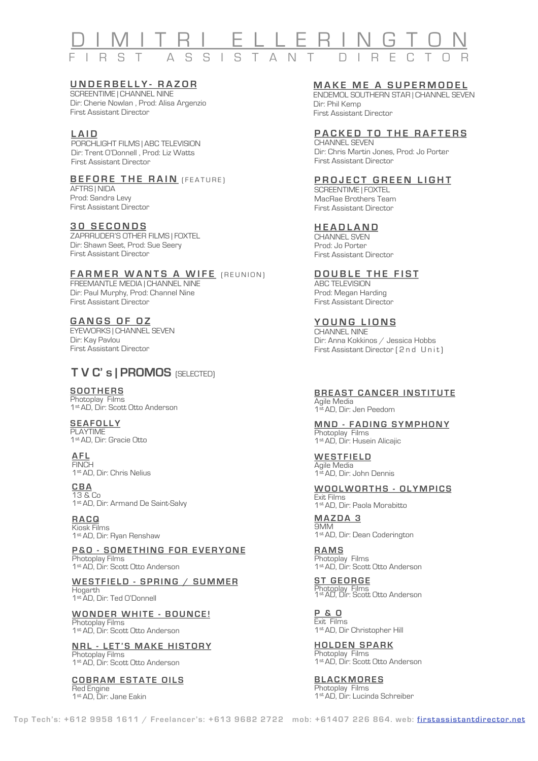

#### **UNDERBELLY- RAZOR**

SCREENTIME | CHANNEL NINE Dir: Cherie Nowlan , Prod: Alisa Argenzio First Assistant Director

#### **LAID**

PORCHLIGHT FILMS | ABC TELEVISION Dir: Trent O'Donnell , Prod: Liz Watts First Assistant Director

#### **BEFORE THE RAIN** (FEATURE)

AFTRS | NIDA Prod: Sandra Levy First Assistant Director

#### **30 SECONDS**

ZAPRRUDER'S OTHER FILMS | FOXTEL Dir: Shawn Seet, Prod: Sue Seery First Assistant Director

#### **FARMER WANTS A WIFE** (REUNION)

FREEMANTLE MEDIA | CHANNEL NINE Dir: Paul Murphy, Prod: Channel Nine First Assistant Director

## **GANGS OF OZ**

EYEWORKS | CHANNEL SEVEN Dir: Kay Pavlou First Assistant Director

# **T V C' s | PROMOS** (SELECTED)

**SOOTHERS** Photoplay Films 1st AD, Dir: Scott Otto Anderson

**SEAFOLLY PLAYTIME** 1st AD, Dir: Gracie Otto

**AFL FINCH** 1st AD, Dir: Chris Nelius

**CBA** 13 & Co 1st AD, Dir: Armand De Saint-Salvy

**RACQ** Kiosk Films 1st AD, Dir: Ryan Renshaw

**P&O - SOMETHING FOR EVERYONE** Photoplay Films 1st AD, Dir: Scott Otto Anderson

**WESTFIELD - SPRING / SUMMER Hogarth** 1st AD, Dir: Ted O'Donnell

**WONDER WHITE - BOUNCE!** Photoplay Films 1st AD, Dir: Scott Otto Anderson

**NRL - LET'S MAKE HISTORY** Photoplay Films 1st AD, Dir: Scott Otto Anderson

**COBRAM ESTATE OILS**

Red Engine 1st AD, Dir: Jane Eakin

### **MAKE ME A SUPERMODEL**

ENDEMOL SOUTHERN STAR | CHANNEL SEVEN Dir: Phil Kemp First Assistant Director

#### **PACKED TO THE RAFTERS**

CHANNEL SEVEN Dir: Chris Martin Jones, Prod: Jo Porter First Assistant Director

#### **PROJECT GREEN LIGHT**

SCREENTIME | FOXTEL MacRae Brothers Team First Assistant Director

#### **HEADLAND**

CHANNEL SVEN Prod: Jo Porter First Assistant Director

### **DOUBLE THE FIST**

ABC TELEVISION Prod: Megan Harding First Assistant Director

## **YOUNG LIONS**

CHANNEL NINE Dir: Anna Kokkinos / Jessica Hobbs First Assistant Director (2nd Unit)

#### **BREAST CANCER INSTITUTE**

Agile Media 1st AD, Dir: Jen Peedom

**MND - FADING SYMPHONY** Photoplay Films 1st AD, Dir: Husein Alicajic

**WESTFIELD** Agile Media 1st AD, Dir: John Dennis

#### **WOOLWORTHS - OLYMPICS** Exit Films

1st AD, Dir: Paola Morabitto

**MAZDA 3** 9MM 1st AD, Dir: Dean Coderington

**RAMS** Photoplay Films 1st AD, Dir: Scott Otto Anderson

**ST GEORGE** Photoplay Films 1st AD, Dir: Scott Otto Anderson

**P & O** Exit Films 1st AD, Dir Christopher Hill

**HOLDEN SPARK** Photoplay Films 1st AD, Dir: Scott Otto Anderson

**BLACKMORES** Photoplay Films 1st AD, Dir: Lucinda Schreiber